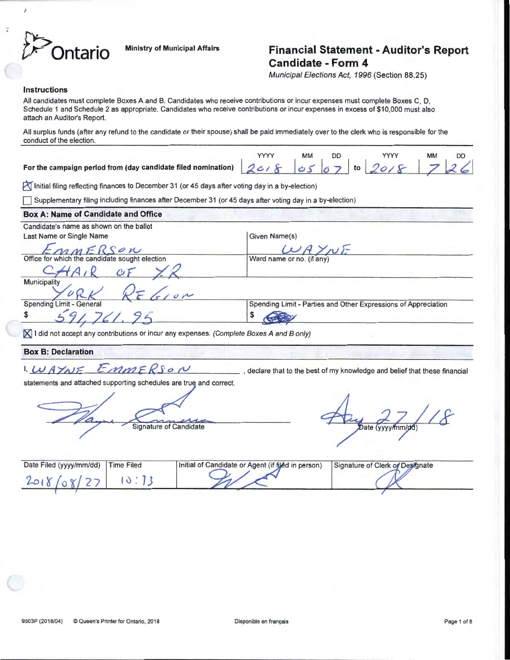$\sim$ 

# **Ontario** Ministry of Municipal Affairs **Financial Statement - Auditor's Report Candidate - Form 4**

Municipal Elections Act, 1996 (Section 88.25)

#### Instructions

All candidates must complete Boxes A and B. Candidates who receive contributions or incur expenses must complete Boxes C, D, Schedule 1 and Schedule 2 as appropriate. Candidates who receive contributions or incur expenses in excess of \$10,000 must also attach an Auditor's Report.

All surplus funds (after any refund to the candidate or their spouse) shall be paid immediately over to the clerk who is responsible for the conduct of the election.

For the campaign period from (day candidate filed nomination)

|  |  | $2018$ 05 07 to 2018 726 |  |
|--|--|--------------------------|--|

Initial filing reflecting finances to December 31 (or 45 days after voting day in a by-election)

Supplementary filing including finances after December 31 (or 45 days after voting day in a by-election)

### Box A: Name of Candidate and Office

| Given Name(s)                                                  |
|----------------------------------------------------------------|
| INF                                                            |
| Ward name or no. (if any)                                      |
|                                                                |
|                                                                |
| Spending Limit - Parties and Other Expressions of Appreciation |
|                                                                |
|                                                                |

 $\mathbb X$  I did not accept any contributions or incur any expenses. (Complete Boxes A and B only)

### Box B: Declaration

# I,  $WAXNE$   $EMMERS$   $\omega$

statements and attached supporting schedules are true and correct.

Signature of Candidate

Date (yyyy/mm/dd)

| Date Filed (yyyy/mm/dd) | <b>Time Filed</b> | Initial of Candidate or Agent (if filed in person) | Signature of Clerk of Designate |  |
|-------------------------|-------------------|----------------------------------------------------|---------------------------------|--|
|                         |                   |                                                    |                                 |  |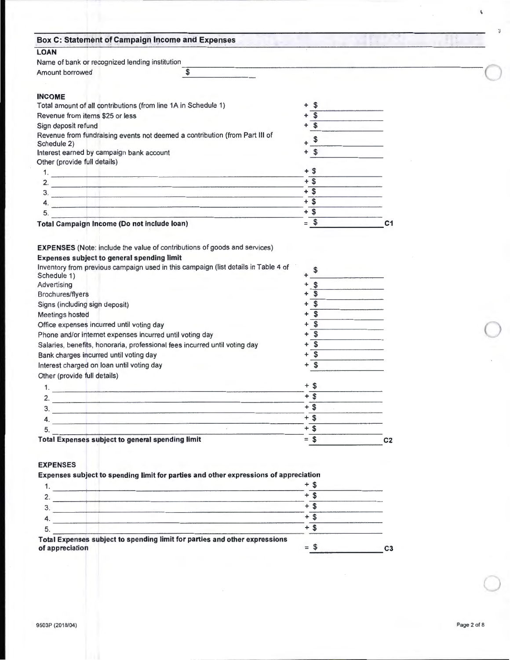| Name of bank or recognized lending institution<br>Amount borrowed<br>\$                                                                                                                                                                                                                                                                             |                                                                                                                   |                |  |
|-----------------------------------------------------------------------------------------------------------------------------------------------------------------------------------------------------------------------------------------------------------------------------------------------------------------------------------------------------|-------------------------------------------------------------------------------------------------------------------|----------------|--|
|                                                                                                                                                                                                                                                                                                                                                     |                                                                                                                   |                |  |
|                                                                                                                                                                                                                                                                                                                                                     |                                                                                                                   |                |  |
|                                                                                                                                                                                                                                                                                                                                                     |                                                                                                                   |                |  |
| <b>INCOME</b>                                                                                                                                                                                                                                                                                                                                       |                                                                                                                   |                |  |
| Total amount of all contributions (from line 1A in Schedule 1)                                                                                                                                                                                                                                                                                      | \$<br>+                                                                                                           |                |  |
| Revenue from items \$25 or less                                                                                                                                                                                                                                                                                                                     | $\mathbf s$                                                                                                       |                |  |
| Sign deposit refund                                                                                                                                                                                                                                                                                                                                 | \$                                                                                                                |                |  |
| Revenue from fundraising events not deemed a contribution (from Part III of                                                                                                                                                                                                                                                                         |                                                                                                                   |                |  |
| Schedule 2)                                                                                                                                                                                                                                                                                                                                         | \$                                                                                                                |                |  |
| Interest earned by campaign bank account                                                                                                                                                                                                                                                                                                            | \$<br>$\ddotmark$                                                                                                 |                |  |
| Other (provide full details)                                                                                                                                                                                                                                                                                                                        |                                                                                                                   |                |  |
|                                                                                                                                                                                                                                                                                                                                                     | $+$ \$                                                                                                            |                |  |
| 2.<br><u> 1990 - Johann Stein, marwolaethau a bhann an chuid ann an 1990.</u>                                                                                                                                                                                                                                                                       | $+$ \$                                                                                                            |                |  |
|                                                                                                                                                                                                                                                                                                                                                     | $+$ \$                                                                                                            |                |  |
| 4.<br><u>and the company of the company of the company of the company of the company of the company of the company of the company of the company of the company of the company of the company of the company of the company of the com</u>                                                                                                          | $+$ \$                                                                                                            |                |  |
| 5.                                                                                                                                                                                                                                                                                                                                                  | $+$ \$                                                                                                            |                |  |
| <b>Total Campaign Income (Do not include loan)</b>                                                                                                                                                                                                                                                                                                  | $=$ \$                                                                                                            | C <sub>1</sub> |  |
| Brochures/flyers<br>Signs (including sign deposit)<br>Meetings hosted<br>Office expenses incurred until voting day<br>Phone and/or internet expenses incurred until voting day<br>Salaries, benefits, honoraria, professional fees incurred until voting day<br>Bank charges incurred until voting day<br>Interest charged on loan until voting day | \$<br>+<br>$\mathbf{\hat{5}}$<br>+<br>$\sqrt{3}$<br>+<br>$\sqrt{2}$<br>٠<br>\$<br>۰<br>$\overline{\$}$<br>+<br>\$ |                |  |
| Other (provide full details)                                                                                                                                                                                                                                                                                                                        |                                                                                                                   |                |  |
| 1.<br>the contract of the contract of the contract of the contract of the contract of                                                                                                                                                                                                                                                               | $+$ \$                                                                                                            |                |  |
| 2                                                                                                                                                                                                                                                                                                                                                   | $+$ \$                                                                                                            |                |  |
| 3.                                                                                                                                                                                                                                                                                                                                                  | $+$ \$                                                                                                            |                |  |
| the control of the control of the control of the control of the control of the control of                                                                                                                                                                                                                                                           | $+$ \$                                                                                                            |                |  |
| 4.<br>the control of the control of the control of the control of the control of the control of the control of the control of the control of the control of the control of the control of the control of the control of the control                                                                                                                 |                                                                                                                   |                |  |
| 5.                                                                                                                                                                                                                                                                                                                                                  | $\frac{1}{\frac{1}{1} \cdot \frac{1}{1}} = \frac{1}{1}$                                                           |                |  |

 $\bigcirc$ 

 $\pmb{\xi}$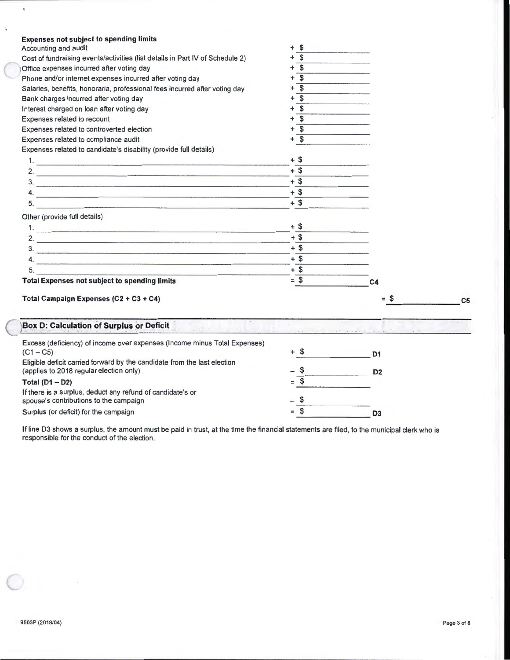| <b>Expenses not subject to spending limits</b><br>Accounting and audit        | \$<br>÷                      |                                                 |                |
|-------------------------------------------------------------------------------|------------------------------|-------------------------------------------------|----------------|
| Cost of fundraising events/activities (list details in Part IV of Schedule 2) | $\overline{\mathfrak{s}}$    |                                                 |                |
| Office expenses incurred after voting day                                     | \$                           |                                                 |                |
| Phone and/or internet expenses incurred after voting day                      | \$                           |                                                 |                |
| Salaries, benefits, honoraria, professional fees incurred after voting day    | \$<br>$\ddot{}$              |                                                 |                |
| Bank charges incurred after voting day                                        | $\overline{\mathbb{S}}$<br>+ |                                                 |                |
| Interest charged on loan after voting day                                     | \$<br>+                      |                                                 |                |
| Expenses related to recount                                                   | \$<br>+                      |                                                 |                |
| Expenses related to controverted election                                     | \$                           |                                                 |                |
| Expenses related to compliance audit                                          | \$                           |                                                 |                |
| Expenses related to candidate's disability (provide full details)             |                              |                                                 |                |
|                                                                               | $+$ \$                       |                                                 |                |
|                                                                               | $+$ \$                       |                                                 |                |
| 2. $\blacksquare$                                                             | $+$ \$                       |                                                 |                |
| 3.                                                                            | $+$ \$                       |                                                 |                |
| $\mathbf{4.}$                                                                 | $+$ \$                       |                                                 |                |
|                                                                               |                              |                                                 |                |
| Other (provide full details)                                                  |                              |                                                 |                |
|                                                                               | $+$ \$                       |                                                 |                |
| <u>2.</u>                                                                     | $+$ \$                       |                                                 |                |
| $\frac{3}{2}$                                                                 | $+$ \$                       |                                                 |                |
| 4.                                                                            | $+$ \$                       |                                                 |                |
| 5.                                                                            | $+$ \$                       |                                                 |                |
| <b>Total Expenses not subject to spending limits</b>                          | $=$ \$                       | C <sub>4</sub>                                  |                |
|                                                                               |                              |                                                 |                |
| Total Campaign Expenses (C2 + C3 + C4)                                        |                              | $=$ \$                                          | C <sub>5</sub> |
| Box D: Calculation of Surplus or Deficit                                      |                              |                                                 |                |
| Excess (deficiency) of income over expenses (Income minus Total Expenses)     |                              |                                                 |                |
| $(C1 - C5)$                                                                   |                              | D <sub>1</sub>                                  |                |
| Eligible deficit carried forward by the candidate from the last election      |                              |                                                 |                |
| (applies to 2018 regular election only)                                       |                              | D <sub>2</sub><br>the control of the control of |                |
| Total $(D1 - D2)$                                                             |                              |                                                 |                |
| If there is a surplus, deduct any refund of candidate's or                    |                              |                                                 |                |
| spouse's contributions to the campaign                                        |                              |                                                 |                |
| Surplus (or deficit) for the campaign                                         | \$                           | D <sub>3</sub>                                  |                |

If line 03 shows a surplus, the amount must be paid in trust, at the time the financial statements are filed, to the municipal clerk who is responsible for the conduct of the election.

 $\bigcirc$ 

 $\hat{\textbf{b}}$ 

 $\bar{\mathrm{t}}$ 

 $\subset$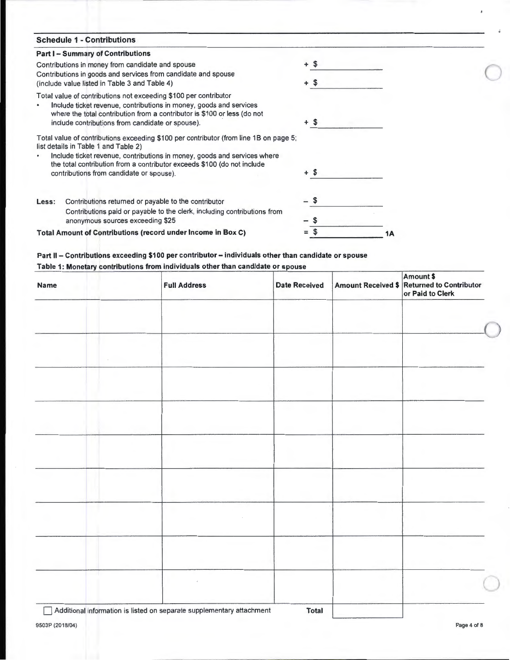| <b>Schedule 1 - Contributions</b>                                                                                                                                                                                                                                      |      |
|------------------------------------------------------------------------------------------------------------------------------------------------------------------------------------------------------------------------------------------------------------------------|------|
| <b>Part I - Summary of Contributions</b>                                                                                                                                                                                                                               |      |
| Contributions in money from candidate and spouse                                                                                                                                                                                                                       | + \$ |
| Contributions in goods and services from candidate and spouse                                                                                                                                                                                                          | + \$ |
| (include value listed in Table 3 and Table 4)                                                                                                                                                                                                                          |      |
| Total value of contributions not exceeding \$100 per contributor<br>Include ticket revenue, contributions in money, goods and services<br>where the total contribution from a contributor is \$100 or less (do not<br>include contributions from candidate or spouse). | + \$ |
| Total value of contributions exceeding \$100 per contributor (from line 1B on page 5;<br>list details in Table 1 and Table 2)                                                                                                                                          |      |
| Include ticket revenue, contributions in money, goods and services where<br>the total contribution from a contributor exceeds \$100 (do not include<br>contributions from candidate or spouse).                                                                        | + \$ |
|                                                                                                                                                                                                                                                                        |      |
| Contributions returned or payable to the contributor<br>Less:                                                                                                                                                                                                          |      |
| Contributions paid or payable to the clerk, including contributions from<br>anonymous sources exceeding \$25                                                                                                                                                           |      |
| Total Amount of Contributions (record under Income in Box C)                                                                                                                                                                                                           | 1Α   |
|                                                                                                                                                                                                                                                                        |      |

## **Part II- Contributions exceeding \$100 per contributor- individuals other than candidate or spouse Table 1: Monetary contributions from individuals other than candidate or spouse**

| Name                                                                  | <b>Full Address</b> | <b>Date Received</b> | Amount \$<br>Amount Received \$ Returned to Contributor<br>or Paid to Clerk |
|-----------------------------------------------------------------------|---------------------|----------------------|-----------------------------------------------------------------------------|
|                                                                       |                     |                      |                                                                             |
|                                                                       |                     |                      |                                                                             |
|                                                                       |                     |                      |                                                                             |
|                                                                       |                     |                      |                                                                             |
|                                                                       |                     |                      |                                                                             |
|                                                                       |                     |                      |                                                                             |
|                                                                       |                     |                      |                                                                             |
|                                                                       |                     |                      |                                                                             |
|                                                                       |                     |                      |                                                                             |
|                                                                       |                     |                      |                                                                             |
|                                                                       |                     |                      |                                                                             |
| Additional information is listed on separate supplementary attachment |                     | <b>Total</b>         |                                                                             |

 $\mathbf{r}$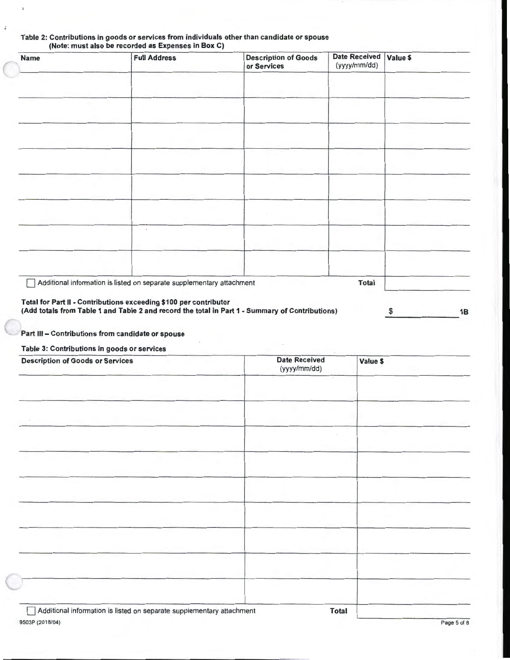| <b>Name</b> | <b>Full Address</b>                                                   | <b>Description of Goods</b><br>or Services | Date Received Value \$<br>(yyyy/mm/dd) |  |
|-------------|-----------------------------------------------------------------------|--------------------------------------------|----------------------------------------|--|
|             |                                                                       |                                            |                                        |  |
|             |                                                                       |                                            |                                        |  |
|             |                                                                       |                                            |                                        |  |
|             |                                                                       |                                            |                                        |  |
|             |                                                                       |                                            |                                        |  |
|             |                                                                       |                                            |                                        |  |
|             |                                                                       |                                            |                                        |  |
|             |                                                                       |                                            |                                        |  |
|             |                                                                       |                                            |                                        |  |
|             |                                                                       |                                            |                                        |  |
|             |                                                                       |                                            |                                        |  |
|             |                                                                       |                                            |                                        |  |
|             | Additional information is listed on separate supplementary attachment |                                            | <b>Total</b>                           |  |
|             | Total for Part II - Contributions exceeding \$100 per contributor     |                                            |                                        |  |

# Table 2: Contributions in goods or services from individuals other than candidate or spouse

Part Ill- Contributions from candidate or spouse

Table 3: Contributions in goods or services

| <b>Description of Goods or Services</b>                               | <b>Date Received</b><br>(yyyy/mm/dd) | Value \$ |
|-----------------------------------------------------------------------|--------------------------------------|----------|
|                                                                       |                                      |          |
|                                                                       |                                      |          |
|                                                                       |                                      |          |
|                                                                       |                                      |          |
|                                                                       |                                      |          |
|                                                                       |                                      |          |
|                                                                       |                                      |          |
|                                                                       |                                      |          |
|                                                                       |                                      |          |
|                                                                       |                                      |          |
|                                                                       |                                      |          |
| Additional information is listed on separate supplementary attachment | <b>Total</b>                         |          |

C

 $\bar{\eta}$ 

 $\hat{\delta}$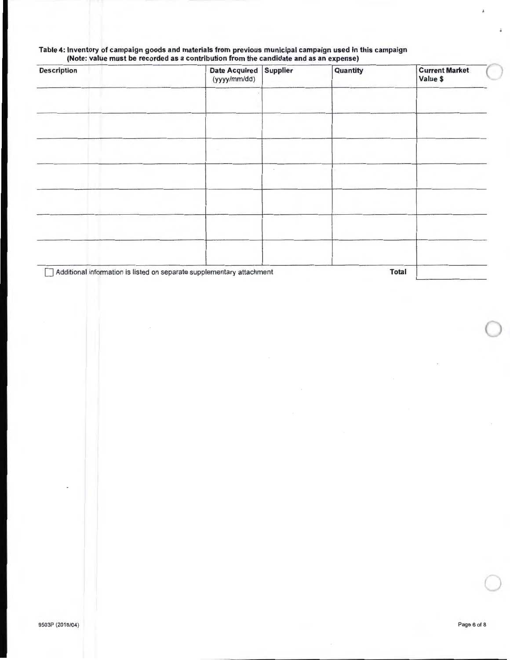### Table 4: Inventory of campaign goods and materials from previous municipal campaign used in this campaign (Note: value must be recorded as a contribution from the candidate and as an expense)

| <b>Description</b> | Date Acquired Supplier<br>(yyyy/mm/dd)                                | Quantity | <b>Current Market</b><br>Value \$ |
|--------------------|-----------------------------------------------------------------------|----------|-----------------------------------|
|                    |                                                                       |          |                                   |
|                    |                                                                       |          |                                   |
|                    |                                                                       |          |                                   |
|                    |                                                                       |          |                                   |
|                    |                                                                       |          |                                   |
|                    |                                                                       |          |                                   |
|                    |                                                                       |          |                                   |
|                    | Additional information is listed on separate supplementary attachment |          | <b>Total</b>                      |

 $\bigcirc$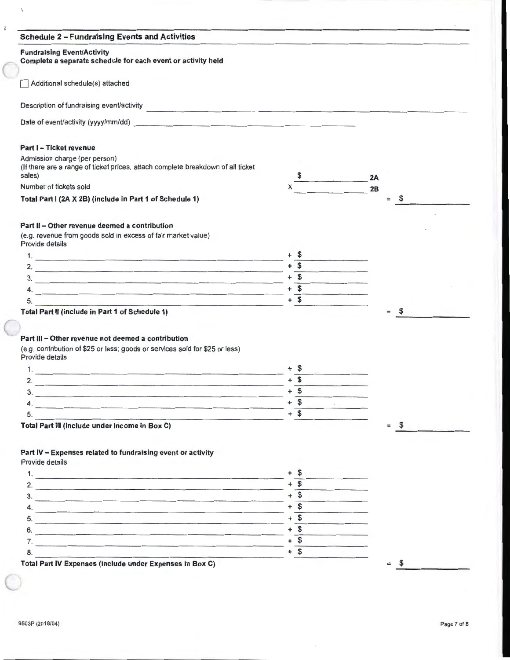| <b>Fundraising Event/Activity</b><br>Complete a separate schedule for each event or activity held                                 |                                  |    |                     |  |
|-----------------------------------------------------------------------------------------------------------------------------------|----------------------------------|----|---------------------|--|
| Additional schedule(s) attached                                                                                                   |                                  |    |                     |  |
| Description of fundraising event/activity                                                                                         |                                  |    |                     |  |
|                                                                                                                                   |                                  |    |                     |  |
| Part I - Ticket revenue                                                                                                           |                                  |    |                     |  |
| Admission charge (per person)<br>(If there are a range of ticket prices, attach complete breakdown of all ticket<br>sales)        |                                  | 2A |                     |  |
| Number of tickets sold                                                                                                            |                                  | 2B |                     |  |
| Total Part I (2A X 2B) (include in Part 1 of Schedule 1)                                                                          |                                  |    | $\mathbb{S}$<br>$=$ |  |
|                                                                                                                                   |                                  |    |                     |  |
| Part II - Other revenue deemed a contribution<br>(e.g. revenue from goods sold in excess of fair market value)<br>Provide details |                                  |    |                     |  |
|                                                                                                                                   | + S                              |    |                     |  |
|                                                                                                                                   | $+$ \$                           |    |                     |  |
| 2. $\blacksquare$                                                                                                                 |                                  |    |                     |  |
| $\overline{\mathbf{3}}$ .<br>4.                                                                                                   | $+\overline{\text{S}}$<br>$+$ \$ |    |                     |  |
| 5.                                                                                                                                | $+$ \$                           |    |                     |  |
|                                                                                                                                   |                                  |    | $=$                 |  |
| Total Part II (include in Part 1 of Schedule 1)                                                                                   |                                  |    | $\mathfrak{F}$      |  |
| Part III - Other revenue not deemed a contribution                                                                                |                                  |    |                     |  |
| (e.g. contribution of \$25 or less; goods or services sold for \$25 or less)<br>Provide details                                   |                                  |    |                     |  |
|                                                                                                                                   |                                  |    |                     |  |
|                                                                                                                                   | $+$ \$                           |    |                     |  |
| $\overline{2}$ .<br>3.<br><u> 1968 - Johann Johann Johann Storm (b. 1989)</u>                                                     | $+$ \$<br>$+$ \$                 |    |                     |  |

 $-5.$  + \$

Total Part III (include under Income in Box C)  $=$  \$

## Part IV - Expenses related to fundraising event or activity

Provide details

| Total Part IV Expenses (include under Expenses in Box C) |  |  |
|----------------------------------------------------------|--|--|
|                                                          |  |  |
|                                                          |  |  |
| ь                                                        |  |  |
|                                                          |  |  |
|                                                          |  |  |
|                                                          |  |  |
|                                                          |  |  |
|                                                          |  |  |